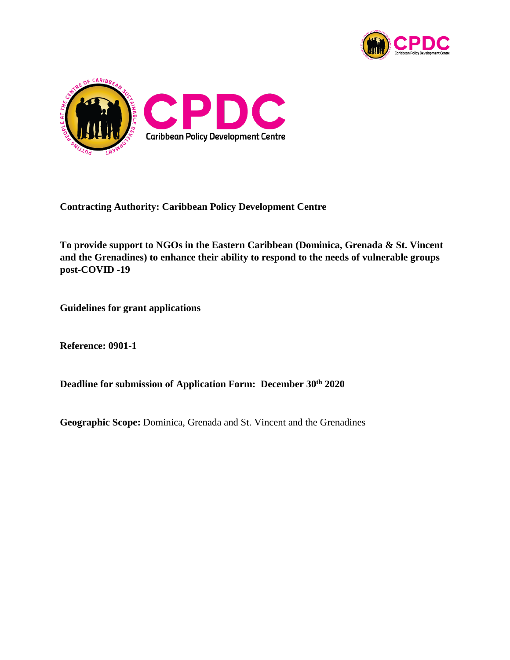



**Contracting Authority: Caribbean Policy Development Centre**

**To provide support to NGOs in the Eastern Caribbean (Dominica, Grenada & St. Vincent and the Grenadines) to enhance their ability to respond to the needs of vulnerable groups post-COVID -19**

**Guidelines for grant applications**

**Reference: 0901-1**

**Deadline for submission of Application Form: December 30th 2020**

**Geographic Scope:** Dominica, Grenada and St. Vincent and the Grenadines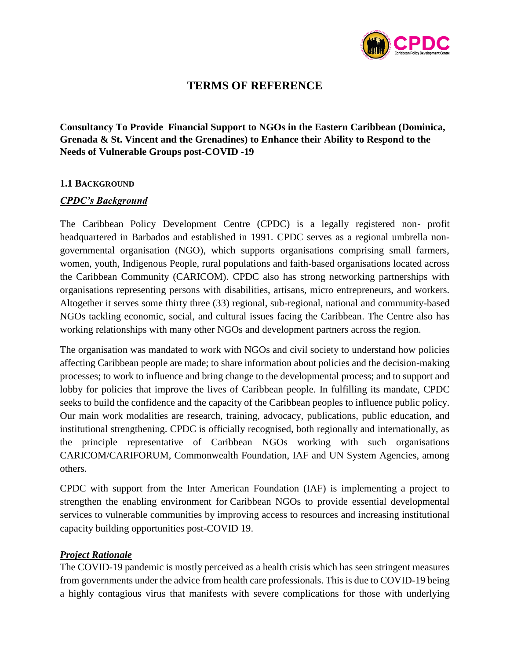

# **TERMS OF REFERENCE**

**Consultancy To Provide Financial Support to NGOs in the Eastern Caribbean (Dominica, Grenada & St. Vincent and the Grenadines) to Enhance their Ability to Respond to the Needs of Vulnerable Groups post-COVID -19**

### **1.1 BACKGROUND**

### *CPDC's Background*

The Caribbean Policy Development Centre (CPDC) is a legally registered non- profit headquartered in Barbados and established in 1991. CPDC serves as a regional umbrella nongovernmental organisation (NGO), which supports organisations comprising small farmers, women, youth, Indigenous People, rural populations and faith-based organisations located across the Caribbean Community (CARICOM). CPDC also has strong networking partnerships with organisations representing persons with disabilities, artisans, micro entrepreneurs, and workers. Altogether it serves some thirty three (33) regional, sub-regional, national and community-based NGOs tackling economic, social, and cultural issues facing the Caribbean. The Centre also has working relationships with many other NGOs and development partners across the region.

The organisation was mandated to work with NGOs and civil society to understand how policies affecting Caribbean people are made; to share information about policies and the decision-making processes; to work to influence and bring change to the developmental process; and to support and lobby for policies that improve the lives of Caribbean people. In fulfilling its mandate, CPDC seeks to build the confidence and the capacity of the Caribbean peoples to influence public policy. Our main work modalities are research, training, advocacy, publications, public education, and institutional strengthening. CPDC is officially recognised, both regionally and internationally, as the principle representative of Caribbean NGOs working with such organisations CARICOM/CARIFORUM, Commonwealth Foundation, IAF and UN System Agencies, among others.

CPDC with support from the Inter American Foundation (IAF) is implementing a project to strengthen the enabling environment for Caribbean NGOs to provide essential developmental services to vulnerable communities by improving access to resources and increasing institutional capacity building opportunities post-COVID 19.

## *Project Rationale*

The COVID-19 pandemic is mostly perceived as a health crisis which has seen stringent measures from governments under the advice from health care professionals. This is due to COVID-19 being a highly contagious virus that manifests with severe complications for those with underlying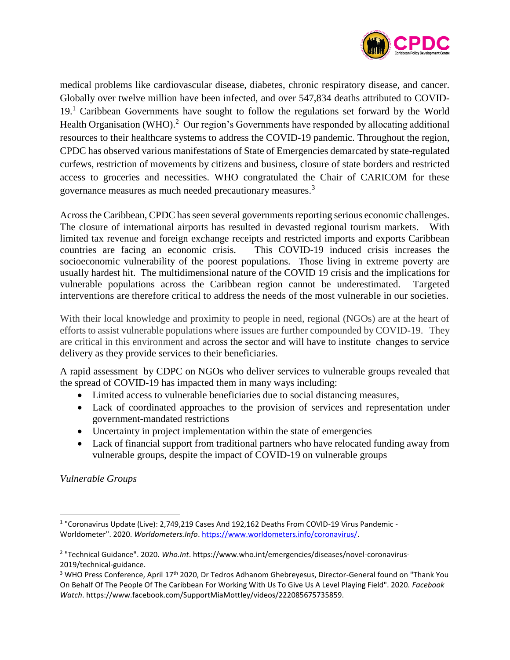

medical problems like cardiovascular disease, diabetes, chronic respiratory disease, and cancer. Globally over twelve million have been infected, and over 547,834 deaths attributed to COVID-19.<sup>1</sup> Caribbean Governments have sought to follow the regulations set forward by the World Health Organisation (WHO).<sup>2</sup> Our region's Governments have responded by allocating additional resources to their healthcare systems to address the COVID-19 pandemic. Throughout the region, CPDC has observed various manifestations of State of Emergencies demarcated by state-regulated curfews, restriction of movements by citizens and business, closure of state borders and restricted access to groceries and necessities. WHO congratulated the Chair of CARICOM for these governance measures as much needed precautionary measures.<sup>3</sup>

Across the Caribbean, CPDC has seen several governments reporting serious economic challenges. The closure of international airports has resulted in devasted regional tourism markets. With limited tax revenue and foreign exchange receipts and restricted imports and exports Caribbean countries are facing an economic crisis. This COVID-19 induced crisis increases the socioeconomic vulnerability of the poorest populations. Those living in extreme poverty are usually hardest hit. The multidimensional nature of the COVID 19 crisis and the implications for vulnerable populations across the Caribbean region cannot be underestimated. Targeted interventions are therefore critical to address the needs of the most vulnerable in our societies.

With their local knowledge and proximity to people in need, regional (NGOs) are at the heart of efforts to assist vulnerable populations where issues are further compounded by COVID-19. They are critical in this environment and across the sector and will have to institute changes to service delivery as they provide services to their beneficiaries.

A rapid assessment by CDPC on NGOs who deliver services to vulnerable groups revealed that the spread of COVID-19 has impacted them in many ways including:

- Limited access to vulnerable beneficiaries due to social distancing measures,
- Lack of coordinated approaches to the provision of services and representation under government-mandated restrictions
- Uncertainty in project implementation within the state of emergencies
- Lack of financial support from traditional partners who have relocated funding away from vulnerable groups, despite the impact of COVID-19 on vulnerable groups

*Vulnerable Groups* 

 $\overline{a}$ 

<sup>&</sup>lt;sup>1</sup> "Coronavirus Update (Live): 2,749,219 Cases And 192,162 Deaths From COVID-19 Virus Pandemic -Worldometer". 2020. *Worldometers.Info*[. https://www.worldometers.info/coronavirus/.](https://www.worldometers.info/coronavirus/)

<sup>2</sup> "Technical Guidance". 2020. *Who.Int*. https://www.who.int/emergencies/diseases/novel-coronavirus-2019/technical-guidance.

<sup>&</sup>lt;sup>3</sup> WHO Press Conference, April 17<sup>th</sup> 2020, Dr Tedros Adhanom Ghebreyesus, Director-General found on "Thank You On Behalf Of The People Of The Caribbean For Working With Us To Give Us A Level Playing Field". 2020. *Facebook Watch*. https://www.facebook.com/SupportMiaMottley/videos/222085675735859.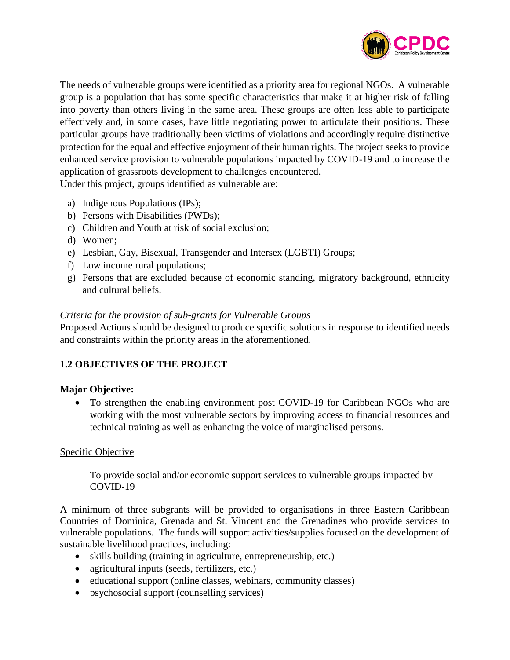

The needs of vulnerable groups were identified as a priority area for regional NGOs. A vulnerable group is a population that has some specific characteristics that make it at higher risk of falling into poverty than others living in the same area. These groups are often less able to participate effectively and, in some cases, have little negotiating power to articulate their positions. These particular groups have traditionally been victims of violations and accordingly require distinctive protection for the equal and effective enjoyment of their human rights. The project seeks to provide enhanced service provision to vulnerable populations impacted by COVID-19 and to increase the application of grassroots development to challenges encountered.

Under this project, groups identified as vulnerable are:

- a) Indigenous Populations (IPs);
- b) Persons with Disabilities (PWDs);
- c) Children and Youth at risk of social exclusion;
- d) Women;
- e) Lesbian, Gay, Bisexual, Transgender and Intersex (LGBTI) Groups;
- f) Low income rural populations;
- g) Persons that are excluded because of economic standing, migratory background, ethnicity and cultural beliefs.

## *Criteria for the provision of sub-grants for Vulnerable Groups*

Proposed Actions should be designed to produce specific solutions in response to identified needs and constraints within the priority areas in the aforementioned.

# **1.2 OBJECTIVES OF THE PROJECT**

# **Major Objective:**

• To strengthen the enabling environment post COVID-19 for Caribbean NGOs who are working with the most vulnerable sectors by improving access to financial resources and technical training as well as enhancing the voice of marginalised persons.

# Specific Objective

To provide social and/or economic support services to vulnerable groups impacted by COVID-19

A minimum of three subgrants will be provided to organisations in three Eastern Caribbean Countries of Dominica, Grenada and St. Vincent and the Grenadines who provide services to vulnerable populations. The funds will support activities/supplies focused on the development of sustainable livelihood practices, including:

- skills building (training in agriculture, entrepreneurship, etc.)
- agricultural inputs (seeds, fertilizers, etc.)
- educational support (online classes, webinars, community classes)
- psychosocial support (counselling services)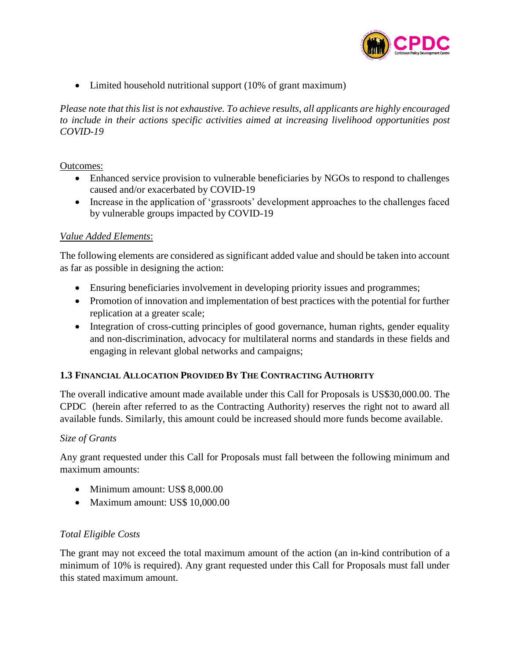

• Limited household nutritional support (10% of grant maximum)

*Please note that this list is not exhaustive. To achieve results, all applicants are highly encouraged to include in their actions specific activities aimed at increasing livelihood opportunities post COVID-19*

### Outcomes:

- Enhanced service provision to vulnerable beneficiaries by NGOs to respond to challenges caused and/or exacerbated by COVID-19
- Increase in the application of 'grassroots' development approaches to the challenges faced by vulnerable groups impacted by COVID-19

### *Value Added Elements*:

The following elements are considered as significant added value and should be taken into account as far as possible in designing the action:

- Ensuring beneficiaries involvement in developing priority issues and programmes;
- Promotion of innovation and implementation of best practices with the potential for further replication at a greater scale;
- Integration of cross-cutting principles of good governance, human rights, gender equality and non-discrimination, advocacy for multilateral norms and standards in these fields and engaging in relevant global networks and campaigns;

## **1.3 FINANCIAL ALLOCATION PROVIDED BY THE CONTRACTING AUTHORITY**

The overall indicative amount made available under this Call for Proposals is US\$30,000.00. The CPDC (herein after referred to as the Contracting Authority) reserves the right not to award all available funds. Similarly, this amount could be increased should more funds become available.

### *Size of Grants*

Any grant requested under this Call for Proposals must fall between the following minimum and maximum amounts:

- Minimum amount: US\$ 8,000.00
- Maximum amount: US\$ 10,000.00

## *Total Eligible Costs*

The grant may not exceed the total maximum amount of the action (an in-kind contribution of a minimum of 10% is required). Any grant requested under this Call for Proposals must fall under this stated maximum amount.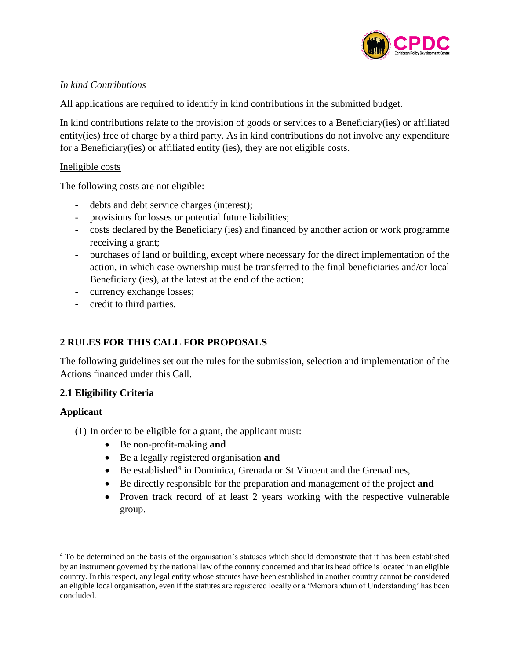

## *In kind Contributions*

All applications are required to identify in kind contributions in the submitted budget.

In kind contributions relate to the provision of goods or services to a Beneficiary(ies) or affiliated entity(ies) free of charge by a third party. As in kind contributions do not involve any expenditure for a Beneficiary(ies) or affiliated entity (ies), they are not eligible costs.

## Ineligible costs

The following costs are not eligible:

- debts and debt service charges (interest);
- provisions for losses or potential future liabilities;
- costs declared by the Beneficiary (ies) and financed by another action or work programme receiving a grant;
- purchases of land or building, except where necessary for the direct implementation of the action, in which case ownership must be transferred to the final beneficiaries and/or local Beneficiary (ies), at the latest at the end of the action;
- currency exchange losses;
- credit to third parties.

# **2 RULES FOR THIS CALL FOR PROPOSALS**

The following guidelines set out the rules for the submission, selection and implementation of the Actions financed under this Call.

# **2.1 Eligibility Criteria**

# **Applicant**

l

- (1) In order to be eligible for a grant, the applicant must:
	- Be non-profit-making **and**
	- Be a legally registered organisation **and**
	- Be established<sup>4</sup> in Dominica, Grenada or St Vincent and the Grenadines,
	- Be directly responsible for the preparation and management of the project **and**
	- Proven track record of at least 2 years working with the respective vulnerable group.

<sup>&</sup>lt;sup>4</sup> To be determined on the basis of the organisation's statuses which should demonstrate that it has been established by an instrument governed by the national law of the country concerned and that its head office is located in an eligible country. In this respect, any legal entity whose statutes have been established in another country cannot be considered an eligible local organisation, even if the statutes are registered locally or a 'Memorandum of Understanding' has been concluded.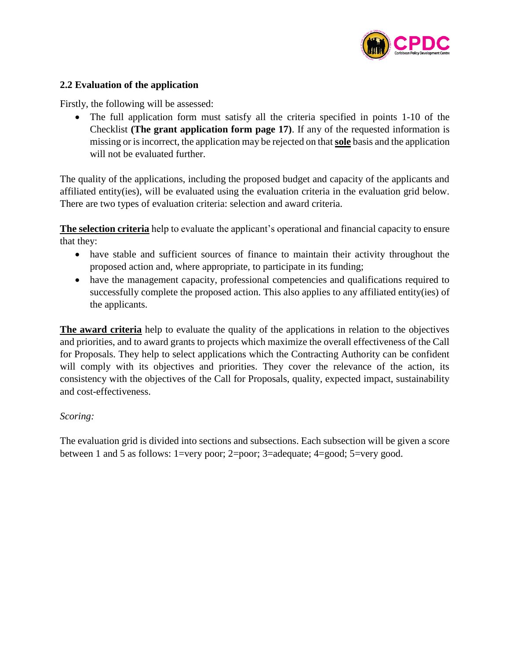

## **2.2 Evaluation of the application**

Firstly, the following will be assessed:

• The full application form must satisfy all the criteria specified in points 1-10 of the Checklist **(The grant application form page 17)**. If any of the requested information is missing or is incorrect, the application may be rejected on that **sole** basis and the application will not be evaluated further.

The quality of the applications, including the proposed budget and capacity of the applicants and affiliated entity(ies), will be evaluated using the evaluation criteria in the evaluation grid below. There are two types of evaluation criteria: selection and award criteria.

**The selection criteria** help to evaluate the applicant's operational and financial capacity to ensure that they:

- have stable and sufficient sources of finance to maintain their activity throughout the proposed action and, where appropriate, to participate in its funding;
- have the management capacity, professional competencies and qualifications required to successfully complete the proposed action. This also applies to any affiliated entity(ies) of the applicants.

**The award criteria** help to evaluate the quality of the applications in relation to the objectives and priorities, and to award grants to projects which maximize the overall effectiveness of the Call for Proposals. They help to select applications which the Contracting Authority can be confident will comply with its objectives and priorities. They cover the relevance of the action, its consistency with the objectives of the Call for Proposals, quality, expected impact, sustainability and cost-effectiveness.

## *Scoring:*

The evaluation grid is divided into sections and subsections. Each subsection will be given a score between 1 and 5 as follows: 1=very poor; 2=poor; 3=adequate; 4=good; 5=very good.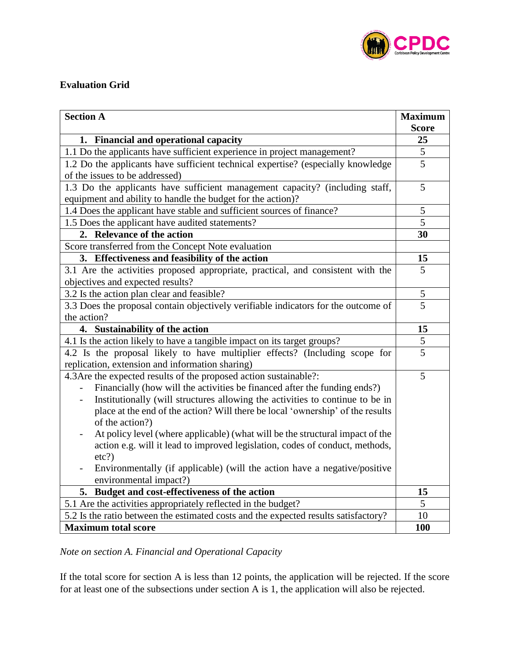

## **Evaluation Grid**

| <b>Section A</b>                                                                    | <b>Maximum</b> |
|-------------------------------------------------------------------------------------|----------------|
|                                                                                     | <b>Score</b>   |
| <b>Financial and operational capacity</b><br>1.                                     | 25             |
| 1.1 Do the applicants have sufficient experience in project management?             | 5              |
| 1.2 Do the applicants have sufficient technical expertise? (especially knowledge    | 5              |
| of the issues to be addressed)                                                      |                |
| 1.3 Do the applicants have sufficient management capacity? (including staff,        | 5              |
| equipment and ability to handle the budget for the action)?                         |                |
| 1.4 Does the applicant have stable and sufficient sources of finance?               | 5              |
| 1.5 Does the applicant have audited statements?                                     | $\overline{5}$ |
| 2. Relevance of the action                                                          | 30             |
| Score transferred from the Concept Note evaluation                                  |                |
| 3. Effectiveness and feasibility of the action                                      | 15             |
| 3.1 Are the activities proposed appropriate, practical, and consistent with the     | 5              |
| objectives and expected results?                                                    |                |
| 3.2 Is the action plan clear and feasible?                                          | 5              |
| 3.3 Does the proposal contain objectively verifiable indicators for the outcome of  | 5              |
| the action?                                                                         |                |
| 4. Sustainability of the action                                                     | 15             |
| 4.1 Is the action likely to have a tangible impact on its target groups?            | 5              |
| 4.2 Is the proposal likely to have multiplier effects? (Including scope for         | $\overline{5}$ |
| replication, extension and information sharing)                                     |                |
| 4.3 Are the expected results of the proposed action sustainable?:                   | 5              |
| Financially (how will the activities be financed after the funding ends?)           |                |
| Institutionally (will structures allowing the activities to continue to be in       |                |
| place at the end of the action? Will there be local 'ownership' of the results      |                |
| of the action?)                                                                     |                |
| At policy level (where applicable) (what will be the structural impact of the       |                |
| action e.g. will it lead to improved legislation, codes of conduct, methods,        |                |
| etc?)                                                                               |                |
| Environmentally (if applicable) (will the action have a negative/positive           |                |
| environmental impact?)                                                              |                |
| 5. Budget and cost-effectiveness of the action                                      | 15             |
| 5.1 Are the activities appropriately reflected in the budget?                       | 5              |
| 5.2 Is the ratio between the estimated costs and the expected results satisfactory? | 10             |
| <b>Maximum total score</b>                                                          | 100            |

*Note on section A. Financial and Operational Capacity*

If the total score for section A is less than 12 points, the application will be rejected. If the score for at least one of the subsections under section A is 1, the application will also be rejected.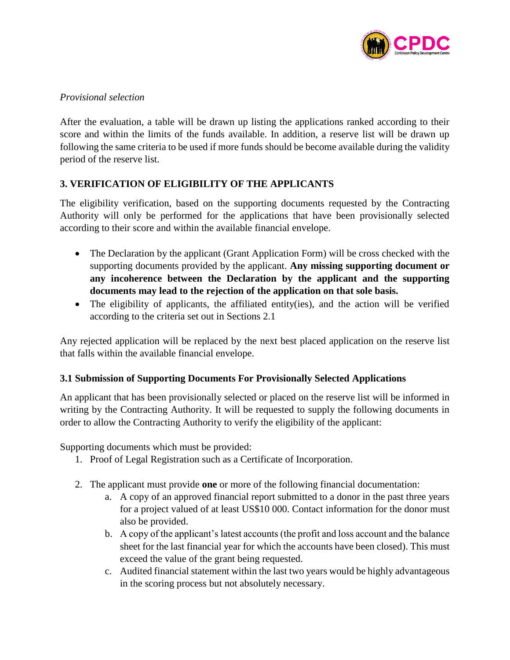

## *Provisional selection*

After the evaluation, a table will be drawn up listing the applications ranked according to their score and within the limits of the funds available. In addition, a reserve list will be drawn up following the same criteria to be used if more funds should be become available during the validity period of the reserve list.

## **3. VERIFICATION OF ELIGIBILITY OF THE APPLICANTS**

The eligibility verification, based on the supporting documents requested by the Contracting Authority will only be performed for the applications that have been provisionally selected according to their score and within the available financial envelope.

- The Declaration by the applicant (Grant Application Form) will be cross checked with the supporting documents provided by the applicant. **Any missing supporting document or any incoherence between the Declaration by the applicant and the supporting documents may lead to the rejection of the application on that sole basis.**
- The eligibility of applicants, the affiliated entity(ies), and the action will be verified according to the criteria set out in Sections 2.1

Any rejected application will be replaced by the next best placed application on the reserve list that falls within the available financial envelope.

## **3.1 Submission of Supporting Documents For Provisionally Selected Applications**

An applicant that has been provisionally selected or placed on the reserve list will be informed in writing by the Contracting Authority. It will be requested to supply the following documents in order to allow the Contracting Authority to verify the eligibility of the applicant:

Supporting documents which must be provided:

- 1. Proof of Legal Registration such as a Certificate of Incorporation.
- 2. The applicant must provide **one** or more of the following financial documentation:
	- a. A copy of an approved financial report submitted to a donor in the past three years for a project valued of at least US\$10 000. Contact information for the donor must also be provided.
	- b. A copy of the applicant's latest accounts (the profit and loss account and the balance sheet for the last financial year for which the accounts have been closed). This must exceed the value of the grant being requested.
	- c. Audited financial statement within the last two years would be highly advantageous in the scoring process but not absolutely necessary.